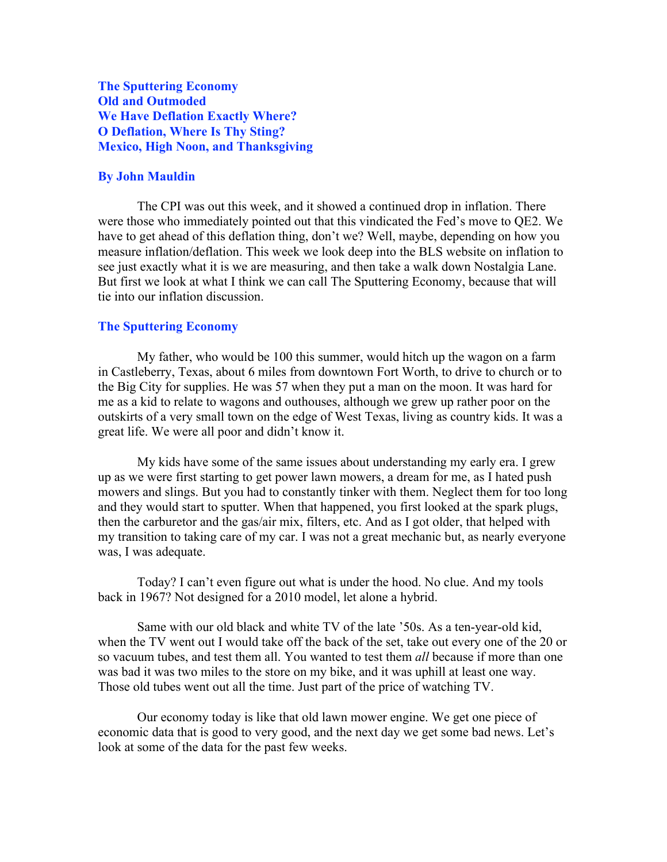The Sputtering Economy Old and Outmoded We Have Deflation Exactly Where? O Deflation, Where Is Thy Sting? Mexico, High Noon, and Thanksgiving

# By John Mauldin

The CPI was out this week, and it showed a continued drop in inflation. There were those who immediately pointed out that this vindicated the Fed's move to QE2. We have to get ahead of this deflation thing, don't we? Well, maybe, depending on how you measure inflation/deflation. This week we look deep into the BLS website on inflation to see just exactly what it is we are measuring, and then take a walk down Nostalgia Lane. But first we look at what I think we can call The Sputtering Economy, because that will tie into our inflation discussion.

#### The Sputtering Economy

My father, who would be 100 this summer, would hitch up the wagon on a farm in Castleberry, Texas, about 6 miles from downtown Fort Worth, to drive to church or to the Big City for supplies. He was 57 when they put a man on the moon. It was hard for me as a kid to relate to wagons and outhouses, although we grew up rather poor on the outskirts of a very small town on the edge of West Texas, living as country kids. It was a great life. We were all poor and didn't know it.

My kids have some of the same issues about understanding my early era. I grew up as we were first starting to get power lawn mowers, a dream for me, as I hated push mowers and slings. But you had to constantly tinker with them. Neglect them for too long and they would start to sputter. When that happened, you first looked at the spark plugs, then the carburetor and the gas/air mix, filters, etc. And as I got older, that helped with my transition to taking care of my car. I was not a great mechanic but, as nearly everyone was, I was adequate.

Today? I can't even figure out what is under the hood. No clue. And my tools back in 1967? Not designed for a 2010 model, let alone a hybrid.

Same with our old black and white TV of the late '50s. As a ten-year-old kid, when the TV went out I would take off the back of the set, take out every one of the 20 or so vacuum tubes, and test them all. You wanted to test them *all* because if more than one was bad it was two miles to the store on my bike, and it was uphill at least one way. Those old tubes went out all the time. Just part of the price of watching TV.

Our economy today is like that old lawn mower engine. We get one piece of economic data that is good to very good, and the next day we get some bad news. Let's look at some of the data for the past few weeks.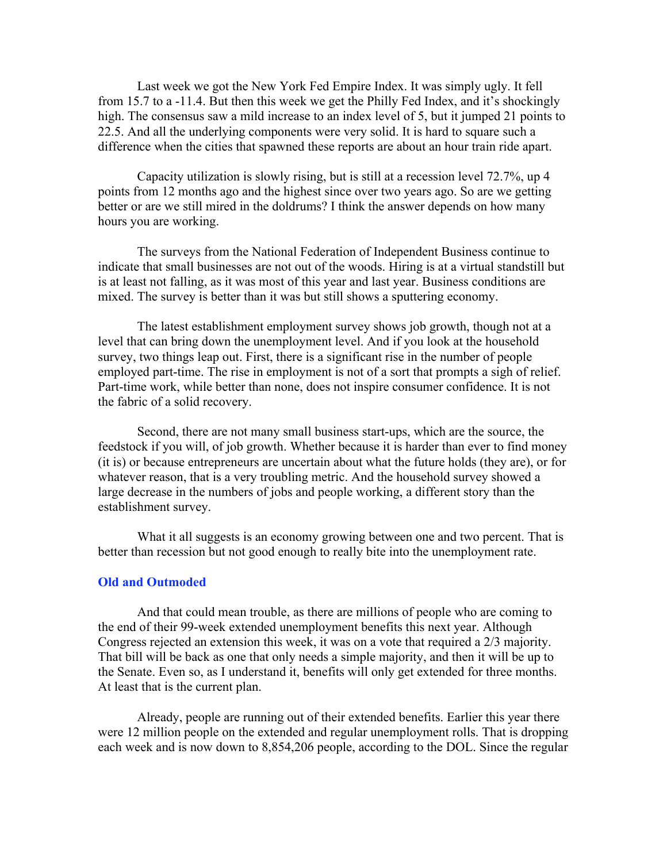Last week we got the New York Fed Empire Index. It was simply ugly. It fell from 15.7 to a -11.4. But then this week we get the Philly Fed Index, and it's shockingly high. The consensus saw a mild increase to an index level of 5, but it jumped 21 points to 22.5. And all the underlying components were very solid. It is hard to square such a difference when the cities that spawned these reports are about an hour train ride apart.

Capacity utilization is slowly rising, but is still at a recession level 72.7%, up 4 points from 12 months ago and the highest since over two years ago. So are we getting better or are we still mired in the doldrums? I think the answer depends on how many hours you are working.

The surveys from the National Federation of Independent Business continue to indicate that small businesses are not out of the woods. Hiring is at a virtual standstill but is at least not falling, as it was most of this year and last year. Business conditions are mixed. The survey is better than it was but still shows a sputtering economy.

The latest establishment employment survey shows job growth, though not at a level that can bring down the unemployment level. And if you look at the household survey, two things leap out. First, there is a significant rise in the number of people employed part-time. The rise in employment is not of a sort that prompts a sigh of relief. Part-time work, while better than none, does not inspire consumer confidence. It is not the fabric of a solid recovery.

Second, there are not many small business start-ups, which are the source, the feedstock if you will, of job growth. Whether because it is harder than ever to find money (it is) or because entrepreneurs are uncertain about what the future holds (they are), or for whatever reason, that is a very troubling metric. And the household survey showed a large decrease in the numbers of jobs and people working, a different story than the establishment survey.

What it all suggests is an economy growing between one and two percent. That is better than recession but not good enough to really bite into the unemployment rate.

# Old and Outmoded

And that could mean trouble, as there are millions of people who are coming to the end of their 99-week extended unemployment benefits this next year. Although Congress rejected an extension this week, it was on a vote that required a 2/3 majority. That bill will be back as one that only needs a simple majority, and then it will be up to the Senate. Even so, as I understand it, benefits will only get extended for three months. At least that is the current plan.

Already, people are running out of their extended benefits. Earlier this year there were 12 million people on the extended and regular unemployment rolls. That is dropping each week and is now down to 8,854,206 people, according to the DOL. Since the regular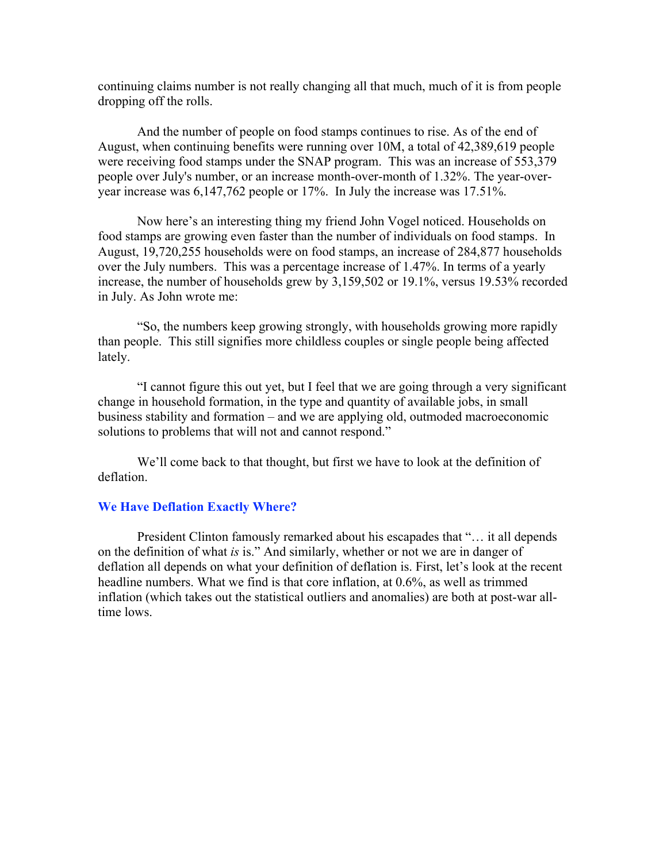continuing claims number is not really changing all that much, much of it is from people dropping off the rolls.

And the number of people on food stamps continues to rise. As of the end of August, when continuing benefits were running over 10M, a total of 42,389,619 people were receiving food stamps under the SNAP program. This was an increase of 553,379 people over July's number, or an increase month-over-month of 1.32%. The year-overyear increase was 6,147,762 people or 17%. In July the increase was 17.51%.

Now here's an interesting thing my friend John Vogel noticed. Households on food stamps are growing even faster than the number of individuals on food stamps. In August, 19,720,255 households were on food stamps, an increase of 284,877 households over the July numbers. This was a percentage increase of 1.47%. In terms of a yearly increase, the number of households grew by 3,159,502 or 19.1%, versus 19.53% recorded in July. As John wrote me:

"So, the numbers keep growing strongly, with households growing more rapidly than people. This still signifies more childless couples or single people being affected lately.

"I cannot figure this out yet, but I feel that we are going through a very significant change in household formation, in the type and quantity of available jobs, in small business stability and formation – and we are applying old, outmoded macroeconomic solutions to problems that will not and cannot respond."

We'll come back to that thought, but first we have to look at the definition of deflation.

## We Have Deflation Exactly Where?

President Clinton famously remarked about his escapades that "… it all depends on the definition of what *is* is." And similarly, whether or not we are in danger of deflation all depends on what your definition of deflation is. First, let's look at the recent headline numbers. What we find is that core inflation, at 0.6%, as well as trimmed inflation (which takes out the statistical outliers and anomalies) are both at post-war alltime lows.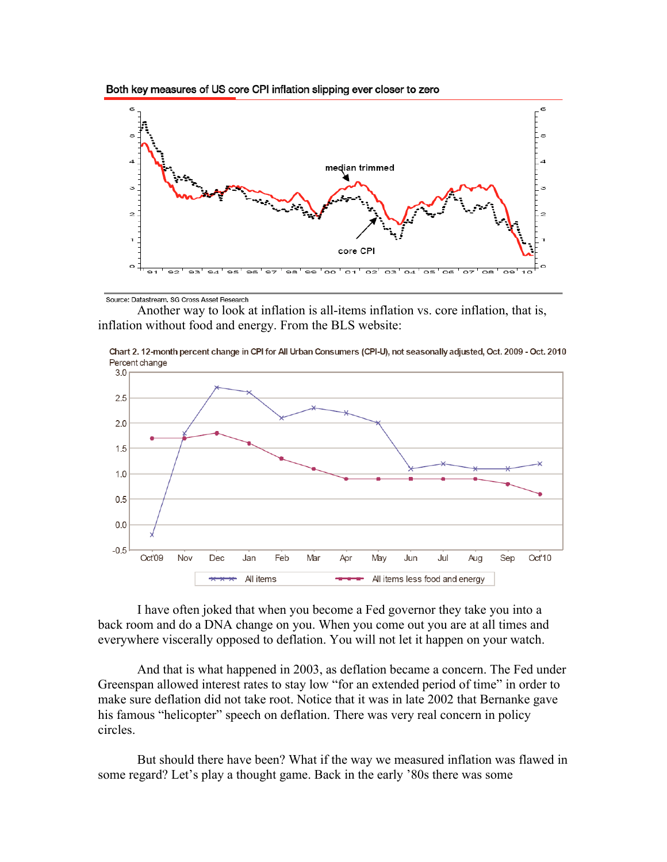



Source: Datastream, SG Cross Asset Research

Another way to look at inflation is all-items inflation vs. core inflation, that is, inflation without food and energy. From the BLS website:



Chart 2. 12-month percent change in CPI for All Urban Consumers (CPI-U), not seasonally adjusted, Oct. 2009 - Oct. 2010 Percent change

I have often joked that when you become a Fed governor they take you into a back room and do a DNA change on you. When you come out you are at all times and everywhere viscerally opposed to deflation. You will not let it happen on your watch.

And that is what happened in 2003, as deflation became a concern. The Fed under Greenspan allowed interest rates to stay low "for an extended period of time" in order to make sure deflation did not take root. Notice that it was in late 2002 that Bernanke gave his famous "helicopter" speech on deflation. There was very real concern in policy circles.

But should there have been? What if the way we measured inflation was flawed in some regard? Let's play a thought game. Back in the early '80s there was some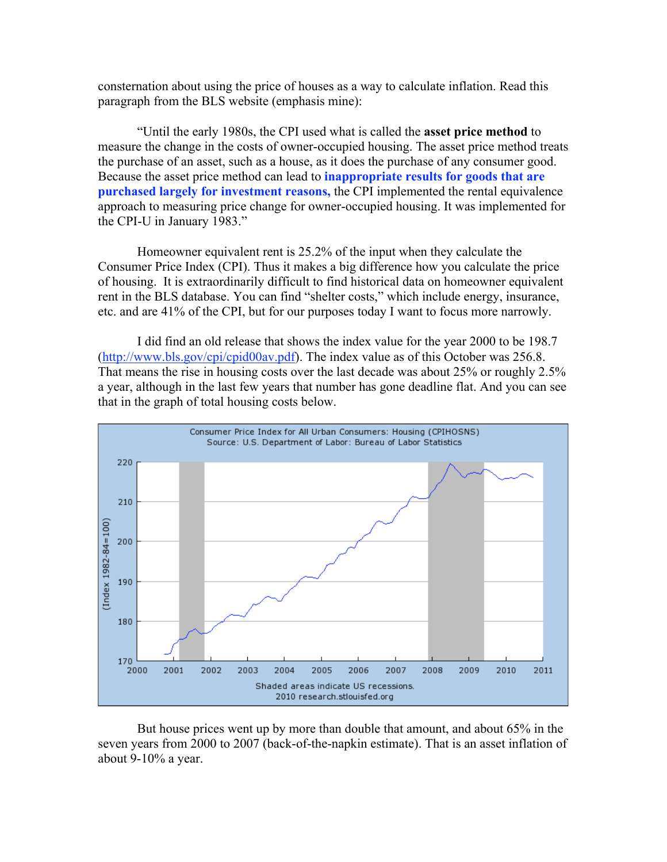consternation about using the price of houses as a way to calculate inflation. Read this paragraph from the BLS website (emphasis mine):

"Until the early 1980s, the CPI used what is called the asset price method to measure the change in the costs of owner-occupied housing. The asset price method treats the purchase of an asset, such as a house, as it does the purchase of any consumer good. Because the asset price method can lead to **inappropriate results for goods that are** purchased largely for investment reasons, the CPI implemented the rental equivalence approach to measuring price change for owner-occupied housing. It was implemented for the CPI-U in January 1983."

Homeowner equivalent rent is 25.2% of the input when they calculate the Consumer Price Index (CPI). Thus it makes a big difference how you calculate the price of housing. It is extraordinarily difficult to find historical data on homeowner equivalent rent in the BLS database. You can find "shelter costs," which include energy, insurance, etc. and are 41% of the CPI, but for our purposes today I want to focus more narrowly.

I did find an old release that shows the index value for the year 2000 to be 198.7 (http://www.bls.gov/cpi/cpid00av.pdf). The index value as of this October was 256.8. That means the rise in housing costs over the last decade was about 25% or roughly 2.5% a year, although in the last few years that number has gone deadline flat. And you can see that in the graph of total housing costs below.



But house prices went up by more than double that amount, and about 65% in the seven years from 2000 to 2007 (back-of-the-napkin estimate). That is an asset inflation of about 9-10% a year.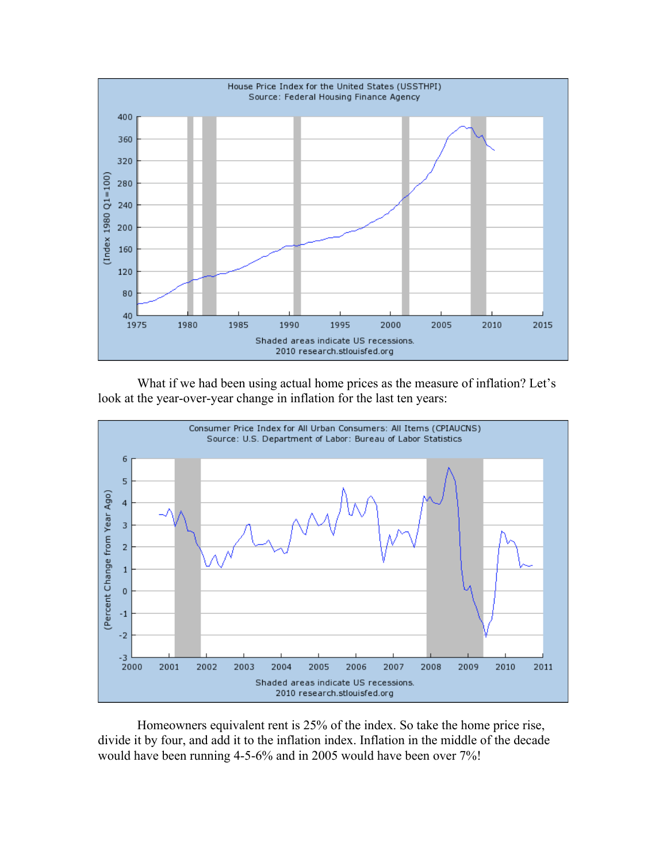

What if we had been using actual home prices as the measure of inflation? Let's look at the year-over-year change in inflation for the last ten years:



Homeowners equivalent rent is 25% of the index. So take the home price rise, divide it by four, and add it to the inflation index. Inflation in the middle of the decade would have been running 4-5-6% and in 2005 would have been over 7%!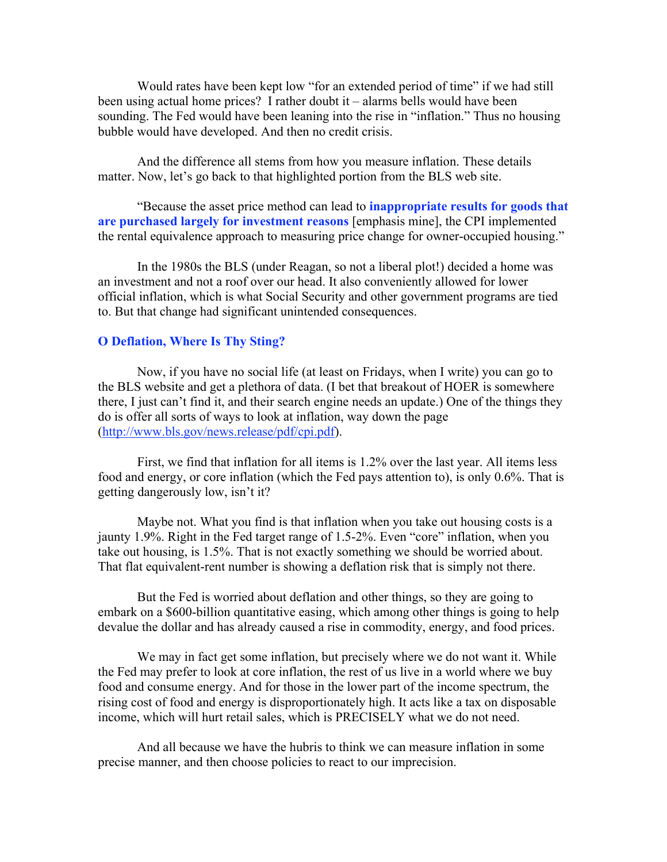Would rates have been kept low "for an extended period of time" if we had still been using actual home prices? I rather doubt it – alarms bells would have been sounding. The Fed would have been leaning into the rise in "inflation." Thus no housing bubble would have developed. And then no credit crisis.

And the difference all stems from how you measure inflation. These details matter. Now, let's go back to that highlighted portion from the BLS web site.

"Because the asset price method can lead to **inappropriate results for goods that** are purchased largely for investment reasons [emphasis mine], the CPI implemented the rental equivalence approach to measuring price change for owner-occupied housing."

In the 1980s the BLS (under Reagan, so not a liberal plot!) decided a home was an investment and not a roof over our head. It also conveniently allowed for lower official inflation, which is what Social Security and other government programs are tied to. But that change had significant unintended consequences.

## O Deflation, Where Is Thy Sting?

Now, if you have no social life (at least on Fridays, when I write) you can go to the BLS website and get a plethora of data. (I bet that breakout of HOER is somewhere there, I just can't find it, and their search engine needs an update.) One of the things they do is offer all sorts of ways to look at inflation, way down the page (http://www.bls.gov/news.release/pdf/cpi.pdf).

First, we find that inflation for all items is 1.2% over the last year. All items less food and energy, or core inflation (which the Fed pays attention to), is only 0.6%. That is getting dangerously low, isn't it?

Maybe not. What you find is that inflation when you take out housing costs is a jaunty 1.9%. Right in the Fed target range of 1.5-2%. Even "core" inflation, when you take out housing, is 1.5%. That is not exactly something we should be worried about. That flat equivalent-rent number is showing a deflation risk that is simply not there.

But the Fed is worried about deflation and other things, so they are going to embark on a \$600-billion quantitative easing, which among other things is going to help devalue the dollar and has already caused a rise in commodity, energy, and food prices.

We may in fact get some inflation, but precisely where we do not want it. While the Fed may prefer to look at core inflation, the rest of us live in a world where we buy food and consume energy. And for those in the lower part of the income spectrum, the rising cost of food and energy is disproportionately high. It acts like a tax on disposable income, which will hurt retail sales, which is PRECISELY what we do not need.

And all because we have the hubris to think we can measure inflation in some precise manner, and then choose policies to react to our imprecision.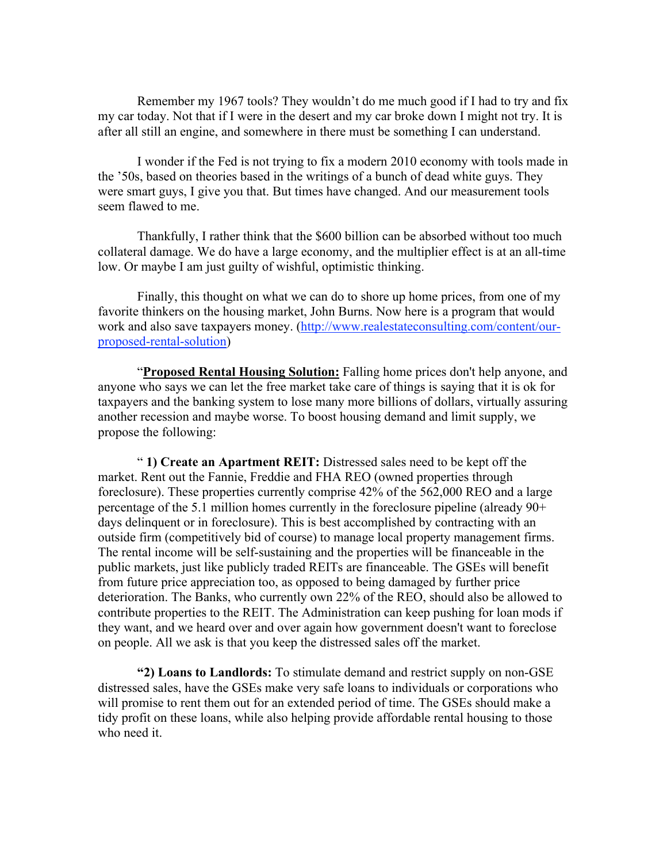Remember my 1967 tools? They wouldn't do me much good if I had to try and fix my car today. Not that if I were in the desert and my car broke down I might not try. It is after all still an engine, and somewhere in there must be something I can understand.

I wonder if the Fed is not trying to fix a modern 2010 economy with tools made in the '50s, based on theories based in the writings of a bunch of dead white guys. They were smart guys, I give you that. But times have changed. And our measurement tools seem flawed to me.

Thankfully, I rather think that the \$600 billion can be absorbed without too much collateral damage. We do have a large economy, and the multiplier effect is at an all-time low. Or maybe I am just guilty of wishful, optimistic thinking.

Finally, this thought on what we can do to shore up home prices, from one of my favorite thinkers on the housing market, John Burns. Now here is a program that would work and also save taxpayers money. (http://www.realestateconsulting.com/content/ourproposed-rental-solution)

"Proposed Rental Housing Solution: Falling home prices don't help anyone, and anyone who says we can let the free market take care of things is saying that it is ok for taxpayers and the banking system to lose many more billions of dollars, virtually assuring another recession and maybe worse. To boost housing demand and limit supply, we propose the following:

" 1) Create an Apartment REIT: Distressed sales need to be kept off the market. Rent out the Fannie, Freddie and FHA REO (owned properties through foreclosure). These properties currently comprise 42% of the 562,000 REO and a large percentage of the 5.1 million homes currently in the foreclosure pipeline (already 90+ days delinquent or in foreclosure). This is best accomplished by contracting with an outside firm (competitively bid of course) to manage local property management firms. The rental income will be self-sustaining and the properties will be financeable in the public markets, just like publicly traded REITs are financeable. The GSEs will benefit from future price appreciation too, as opposed to being damaged by further price deterioration. The Banks, who currently own 22% of the REO, should also be allowed to contribute properties to the REIT. The Administration can keep pushing for loan mods if they want, and we heard over and over again how government doesn't want to foreclose on people. All we ask is that you keep the distressed sales off the market.

"2) Loans to Landlords: To stimulate demand and restrict supply on non-GSE distressed sales, have the GSEs make very safe loans to individuals or corporations who will promise to rent them out for an extended period of time. The GSEs should make a tidy profit on these loans, while also helping provide affordable rental housing to those who need it.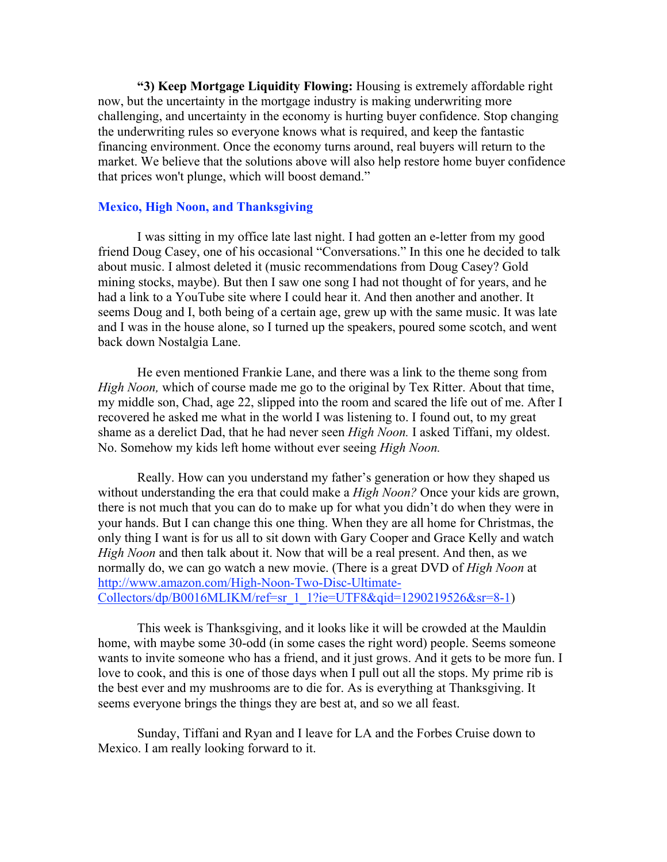"3) Keep Mortgage Liquidity Flowing: Housing is extremely affordable right now, but the uncertainty in the mortgage industry is making underwriting more challenging, and uncertainty in the economy is hurting buyer confidence. Stop changing the underwriting rules so everyone knows what is required, and keep the fantastic financing environment. Once the economy turns around, real buyers will return to the market. We believe that the solutions above will also help restore home buyer confidence that prices won't plunge, which will boost demand."

# Mexico, High Noon, and Thanksgiving

I was sitting in my office late last night. I had gotten an e-letter from my good friend Doug Casey, one of his occasional "Conversations." In this one he decided to talk about music. I almost deleted it (music recommendations from Doug Casey? Gold mining stocks, maybe). But then I saw one song I had not thought of for years, and he had a link to a YouTube site where I could hear it. And then another and another. It seems Doug and I, both being of a certain age, grew up with the same music. It was late and I was in the house alone, so I turned up the speakers, poured some scotch, and went back down Nostalgia Lane.

He even mentioned Frankie Lane, and there was a link to the theme song from *High Noon,* which of course made me go to the original by Tex Ritter. About that time, my middle son, Chad, age 22, slipped into the room and scared the life out of me. After I recovered he asked me what in the world I was listening to. I found out, to my great shame as a derelict Dad, that he had never seen *High Noon.* I asked Tiffani, my oldest. No. Somehow my kids left home without ever seeing *High Noon.*

Really. How can you understand my father's generation or how they shaped us without understanding the era that could make a *High Noon?* Once your kids are grown, there is not much that you can do to make up for what you didn't do when they were in your hands. But I can change this one thing. When they are all home for Christmas, the only thing I want is for us all to sit down with Gary Cooper and Grace Kelly and watch *High Noon* and then talk about it. Now that will be a real present. And then, as we normally do, we can go watch a new movie. (There is a great DVD of *High Noon* at http://www.amazon.com/High-Noon-Two-Disc-Ultimate- $Collectors/dp/B0016MLIKM/ref=sr-1-1?ie=UTF8&qid=1290219526&sr=8-1)$ 

This week is Thanksgiving, and it looks like it will be crowded at the Mauldin home, with maybe some 30-odd (in some cases the right word) people. Seems someone wants to invite someone who has a friend, and it just grows. And it gets to be more fun. I love to cook, and this is one of those days when I pull out all the stops. My prime rib is the best ever and my mushrooms are to die for. As is everything at Thanksgiving. It seems everyone brings the things they are best at, and so we all feast.

Sunday, Tiffani and Ryan and I leave for LA and the Forbes Cruise down to Mexico. I am really looking forward to it.